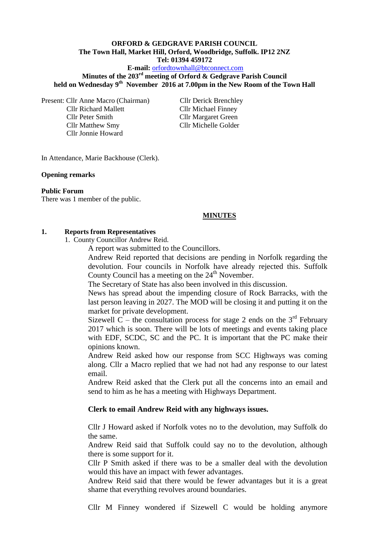# **ORFORD & GEDGRAVE PARISH COUNCIL The Town Hall, Market Hill, Orford, Woodbridge, Suffolk. IP12 2NZ Tel: 01394 459172**

### **E-mail:** [orfordtownhall@btconnect.com](mailto:orfordtownhall@btconnect.com)

**Minutes of the 203rd meeting of Orford & Gedgrave Parish Council held on Wednesday 9th November 2016 at 7.00pm in the New Room of the Town Hall**

Present: Cllr Anne Macro (Chairman) Cllr Derick Brenchley Cllr Richard Mallett Cllr Michael Finney Cllr Peter Smith Cllr Margaret Green Cllr Matthew Smy Cllr Michelle Golder Cllr Jonnie Howard

In Attendance, Marie Backhouse (Clerk).

#### **Opening remarks**

#### **Public Forum**

There was 1 member of the public.

### **MINUTES**

#### **1. Reports from Representatives**

1. County Councillor Andrew Reid.

A report was submitted to the Councillors.

Andrew Reid reported that decisions are pending in Norfolk regarding the devolution. Four councils in Norfolk have already rejected this. Suffolk County Council has a meeting on the  $24<sup>th</sup>$  November.

The Secretary of State has also been involved in this discussion.

News has spread about the impending closure of Rock Barracks, with the last person leaving in 2027. The MOD will be closing it and putting it on the market for private development.

Sizewell C – the consultation process for stage 2 ends on the  $3<sup>rd</sup>$  February 2017 which is soon. There will be lots of meetings and events taking place with EDF, SCDC, SC and the PC. It is important that the PC make their opinions known.

Andrew Reid asked how our response from SCC Highways was coming along. Cllr a Macro replied that we had not had any response to our latest email.

Andrew Reid asked that the Clerk put all the concerns into an email and send to him as he has a meeting with Highways Department.

### **Clerk to email Andrew Reid with any highways issues.**

Cllr J Howard asked if Norfolk votes no to the devolution, may Suffolk do the same.

Andrew Reid said that Suffolk could say no to the devolution, although there is some support for it.

Cllr P Smith asked if there was to be a smaller deal with the devolution would this have an impact with fewer advantages.

Andrew Reid said that there would be fewer advantages but it is a great shame that everything revolves around boundaries.

Cllr M Finney wondered if Sizewell C would be holding anymore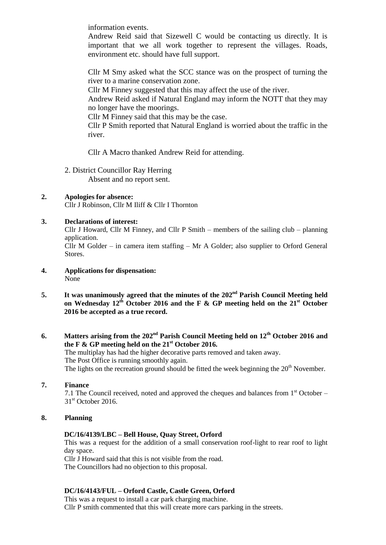information events.

Andrew Reid said that Sizewell C would be contacting us directly. It is important that we all work together to represent the villages. Roads, environment etc. should have full support.

Cllr M Smy asked what the SCC stance was on the prospect of turning the river to a marine conservation zone.

Cllr M Finney suggested that this may affect the use of the river.

Andrew Reid asked if Natural England may inform the NOTT that they may no longer have the moorings.

Cllr M Finney said that this may be the case.

Cllr P Smith reported that Natural England is worried about the traffic in the river.

Cllr A Macro thanked Andrew Reid for attending.

2. District Councillor Ray Herring Absent and no report sent.

# **2. Apologies for absence:**

Cllr J Robinson, Cllr M Iliff & Cllr I Thornton

## **3. Declarations of interest:**

Cllr J Howard, Cllr M Finney, and Cllr P Smith – members of the sailing club – planning application.

Cllr M Golder – in camera item staffing – Mr A Golder; also supplier to Orford General Stores.

- **4. Applications for dispensation:** None
- **5. It was unanimously agreed that the minutes of the 202nd Parish Council Meeting held on Wednesday 12th October 2016 and the F & GP meeting held on the 21st October 2016 be accepted as a true record.**

### **6. Matters arising from the 202nd Parish Council Meeting held on 12th October 2016 and the F & GP meeting held on the 21st October 2016.**

The multiplay has had the higher decorative parts removed and taken away. The Post Office is running smoothly again. The lights on the recreation ground should be fitted the week beginning the  $20<sup>th</sup>$  November.

## **7. Finance**

7.1 The Council received, noted and approved the cheques and balances from  $1<sup>st</sup>$  October –  $31<sup>st</sup>$  October 2016.

## **8. Planning**

### **DC/16/4139/LBC – Bell House, Quay Street, Orford**

This was a request for the addition of a small conservation roof-light to rear roof to light day space.

Cllr J Howard said that this is not visible from the road. The Councillors had no objection to this proposal.

## **DC/16/4143/FUL – Orford Castle, Castle Green, Orford**

This was a request to install a car park charging machine. Cllr P smith commented that this will create more cars parking in the streets.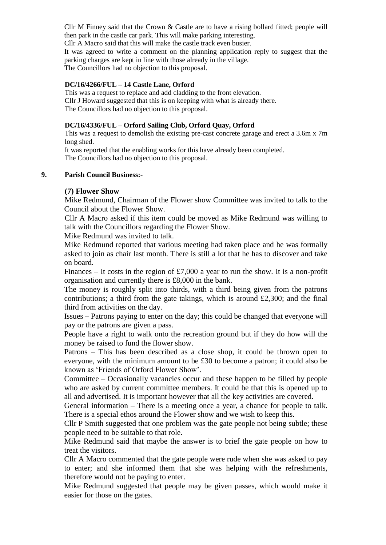Cllr M Finney said that the Crown & Castle are to have a rising bollard fitted; people will then park in the castle car park. This will make parking interesting. Cllr A Macro said that this will make the castle track even busier.

It was agreed to write a comment on the planning application reply to suggest that the parking charges are kept in line with those already in the village. The Councillors had no objection to this proposal.

### **DC/16/4266/FUL – 14 Castle Lane, Orford**

This was a request to replace and add cladding to the front elevation. Cllr J Howard suggested that this is on keeping with what is already there. The Councillors had no objection to this proposal.

### **DC/16/4336/FUL – Orford Sailing Club, Orford Quay, Orford**

This was a request to demolish the existing pre-cast concrete garage and erect a 3.6m x 7m long shed.

It was reported that the enabling works for this have already been completed. The Councillors had no objection to this proposal.

### **9. Parish Council Business:-**

## **(7) Flower Show**

Mike Redmund, Chairman of the Flower show Committee was invited to talk to the Council about the Flower Show.

Cllr A Macro asked if this item could be moved as Mike Redmund was willing to talk with the Councillors regarding the Flower Show.

Mike Redmund was invited to talk.

Mike Redmund reported that various meeting had taken place and he was formally asked to join as chair last month. There is still a lot that he has to discover and take on board.

Finances – It costs in the region of £7,000 a year to run the show. It is a non-profit organisation and currently there is £8,000 in the bank.

The money is roughly split into thirds, with a third being given from the patrons contributions; a third from the gate takings, which is around  $£2,300$ ; and the final third from activities on the day.

Issues – Patrons paying to enter on the day; this could be changed that everyone will pay or the patrons are given a pass.

People have a right to walk onto the recreation ground but if they do how will the money be raised to fund the flower show.

Patrons – This has been described as a close shop, it could be thrown open to everyone, with the minimum amount to be £30 to become a patron; it could also be known as 'Friends of Orford Flower Show'.

Committee – Occasionally vacancies occur and these happen to be filled by people who are asked by current committee members. It could be that this is opened up to all and advertised. It is important however that all the key activities are covered.

General information – There is a meeting once a year, a chance for people to talk. There is a special ethos around the Flower show and we wish to keep this.

Cllr P Smith suggested that one problem was the gate people not being subtle; these people need to be suitable to that role.

Mike Redmund said that maybe the answer is to brief the gate people on how to treat the visitors.

Cllr A Macro commented that the gate people were rude when she was asked to pay to enter; and she informed them that she was helping with the refreshments, therefore would not be paying to enter.

Mike Redmund suggested that people may be given passes, which would make it easier for those on the gates.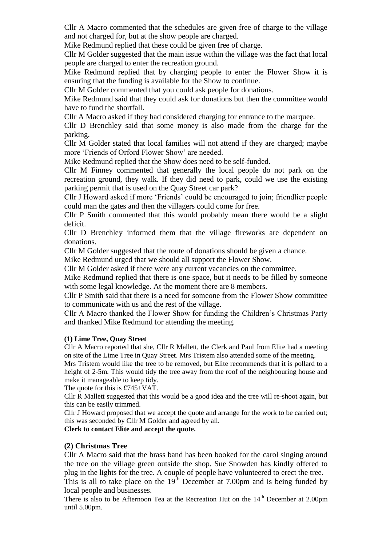Cllr A Macro commented that the schedules are given free of charge to the village and not charged for, but at the show people are charged.

Mike Redmund replied that these could be given free of charge.

Cllr M Golder suggested that the main issue within the village was the fact that local people are charged to enter the recreation ground.

Mike Redmund replied that by charging people to enter the Flower Show it is ensuring that the funding is available for the Show to continue.

Cllr M Golder commented that you could ask people for donations.

Mike Redmund said that they could ask for donations but then the committee would have to fund the shortfall.

Cllr A Macro asked if they had considered charging for entrance to the marquee.

Cllr D Brenchley said that some money is also made from the charge for the parking.

Cllr M Golder stated that local families will not attend if they are charged; maybe more 'Friends of Orford Flower Show' are needed.

Mike Redmund replied that the Show does need to be self-funded.

Cllr M Finney commented that generally the local people do not park on the recreation ground, they walk. If they did need to park, could we use the existing parking permit that is used on the Quay Street car park?

Cllr J Howard asked if more 'Friends' could be encouraged to join; friendlier people could man the gates and then the villagers could come for free.

Cllr P Smith commented that this would probably mean there would be a slight deficit.

Cllr D Brenchley informed them that the village fireworks are dependent on donations.

Cllr M Golder suggested that the route of donations should be given a chance.

Mike Redmund urged that we should all support the Flower Show.

Cllr M Golder asked if there were any current vacancies on the committee.

Mike Redmund replied that there is one space, but it needs to be filled by someone with some legal knowledge. At the moment there are 8 members.

Cllr P Smith said that there is a need for someone from the Flower Show committee to communicate with us and the rest of the village.

Cllr A Macro thanked the Flower Show for funding the Children's Christmas Party and thanked Mike Redmund for attending the meeting.

### **(1) Lime Tree, Quay Street**

Cllr A Macro reported that she, Cllr R Mallett, the Clerk and Paul from Elite had a meeting on site of the Lime Tree in Quay Street. Mrs Tristem also attended some of the meeting.

Mrs Tristem would like the tree to be removed, but Elite recommends that it is pollard to a height of 2-5m. This would tidy the tree away from the roof of the neighbouring house and make it manageable to keep tidy.

The quote for this is £745+VAT.

Cllr R Mallett suggested that this would be a good idea and the tree will re-shoot again, but this can be easily trimmed.

Cllr J Howard proposed that we accept the quote and arrange for the work to be carried out; this was seconded by Cllr M Golder and agreed by all.

### **Clerk to contact Elite and accept the quote.**

# **(2) Christmas Tree**

Cllr A Macro said that the brass band has been booked for the carol singing around the tree on the village green outside the shop. Sue Snowden has kindly offered to plug in the lights for the tree. A couple of people have volunteered to erect the tree. This is all to take place on the  $19<sup>th</sup>$  December at 7.00pm and is being funded by

local people and businesses.

There is also to be Afternoon Tea at the Recreation Hut on the 14<sup>th</sup> December at 2.00pm until 5.00pm.